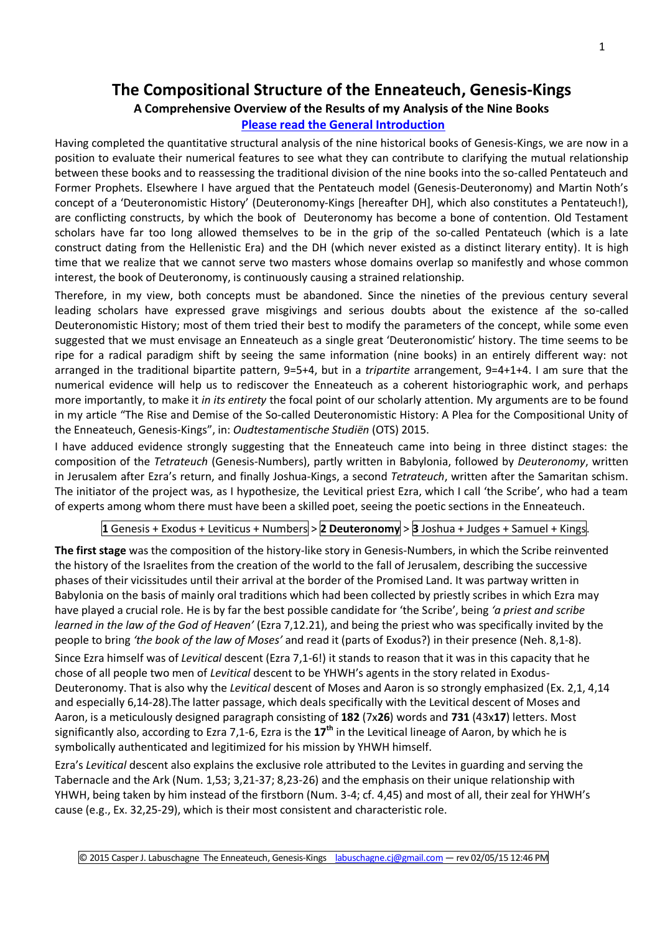# **The Compositional Structure of the Enneateuch, Genesis-Kings**

## **A Comprehensive Overview of the Results of my Analysis of the Nine Books**

## **[Please read the General Introduction](http://www.labuschagne.nl/aspects.pdf)**

Having completed the quantitative structural analysis of the nine historical books of Genesis-Kings, we are now in a position to evaluate their numerical features to see what they can contribute to clarifying the mutual relationship between these books and to reassessing the traditional division of the nine books into the so-called Pentateuch and Former Prophets. Elsewhere I have argued that the Pentateuch model (Genesis-Deuteronomy) and Martin Noth's concept of a 'Deuteronomistic History' (Deuteronomy-Kings [hereafter DH], which also constitutes a Pentateuch!), are conflicting constructs, by which the book of Deuteronomy has become a bone of contention. Old Testament scholars have far too long allowed themselves to be in the grip of the so-called Pentateuch (which is a late construct dating from the Hellenistic Era) and the DH (which never existed as a distinct literary entity). It is high time that we realize that we cannot serve two masters whose domains overlap so manifestly and whose common interest, the book of Deuteronomy, is continuously causing a strained relationship.

Therefore, in my view, both concepts must be abandoned. Since the nineties of the previous century several leading scholars have expressed grave misgivings and serious doubts about the existence af the so-called Deuteronomistic History; most of them tried their best to modify the parameters of the concept, while some even suggested that we must envisage an Enneateuch as a single great 'Deuteronomistic' history. The time seems to be ripe for a radical paradigm shift by seeing the same information (nine books) in an entirely different way: not arranged in the traditional bipartite pattern, 9=5+4, but in a *tripartite* arrangement, 9=4+1+4. I am sure that the numerical evidence will help us to rediscover the Enneateuch as a coherent historiographic work, and perhaps more importantly, to make it *in its entirety* the focal point of our scholarly attention. My arguments are to be found in my article "The Rise and Demise of the So-called Deuteronomistic History: A Plea for the Compositional Unity of the Enneateuch, Genesis-Kings", in: *Oudtestamentische Studiën* (OTS) 2015.

I have adduced evidence strongly suggesting that the Enneateuch came into being in three distinct stages: the composition of the *Tetrateuch* (Genesis-Numbers), partly written in Babylonia, followed by *Deuteronomy*, written in Jerusalem after Ezra's return, and finally Joshua-Kings, a second *Tetrateuch*, written after the Samaritan schism. The initiator of the project was, as I hypothesize, the Levitical priest Ezra, which I call 'the Scribe', who had a team of experts among whom there must have been a skilled poet, seeing the poetic sections in the Enneateuch.

**1** Genesis + Exodus + Leviticus + Numbers > **2 Deuteronomy** > **3** Joshua + Judges + Samuel + Kings.

**The first stage** was the composition of the history-like story in Genesis-Numbers, in which the Scribe reinvented the history of the Israelites from the creation of the world to the fall of Jerusalem, describing the successive phases of their vicissitudes until their arrival at the border of the Promised Land. It was partway written in Babylonia on the basis of mainly oral traditions which had been collected by priestly scribes in which Ezra may have played a crucial role. He is by far the best possible candidate for 'the Scribe', being *'a priest and scribe learned in the law of the God of Heaven'* (Ezra 7,12.21), and being the priest who was specifically invited by the people to bring *'the book of the law of Moses'* and read it (parts of Exodus?) in their presence (Neh. 8,1-8).

Since Ezra himself was of *Levitical* descent (Ezra 7,1-6!) it stands to reason that it was in this capacity that he chose of all people two men of *Levitical* descent to be YHWH's agents in the story related in Exodus-Deuteronomy. That is also why the *Levitical* descent of Moses and Aaron is so strongly emphasized (Ex. 2,1, 4,14 and especially 6,14-28).The latter passage, which deals specifically with the Levitical descent of Moses and Aaron, is a meticulously designed paragraph consisting of **182** (7x**26**) words and **731** (43x**17**) letters. Most significantly also, according to Ezra 7,1-6, Ezra is the **17th** in the Levitical lineage of Aaron, by which he is symbolically authenticated and legitimized for his mission by YHWH himself.

Ezra's *Levitical* descent also explains the exclusive role attributed to the Levites in guarding and serving the Tabernacle and the Ark (Num. 1,53; 3,21-37; 8,23-26) and the emphasis on their unique relationship with YHWH, being taken by him instead of the firstborn (Num. 3-4; cf. 4,45) and most of all, their zeal for YHWH's cause (e.g., Ex. 32,25-29), which is their most consistent and characteristic role.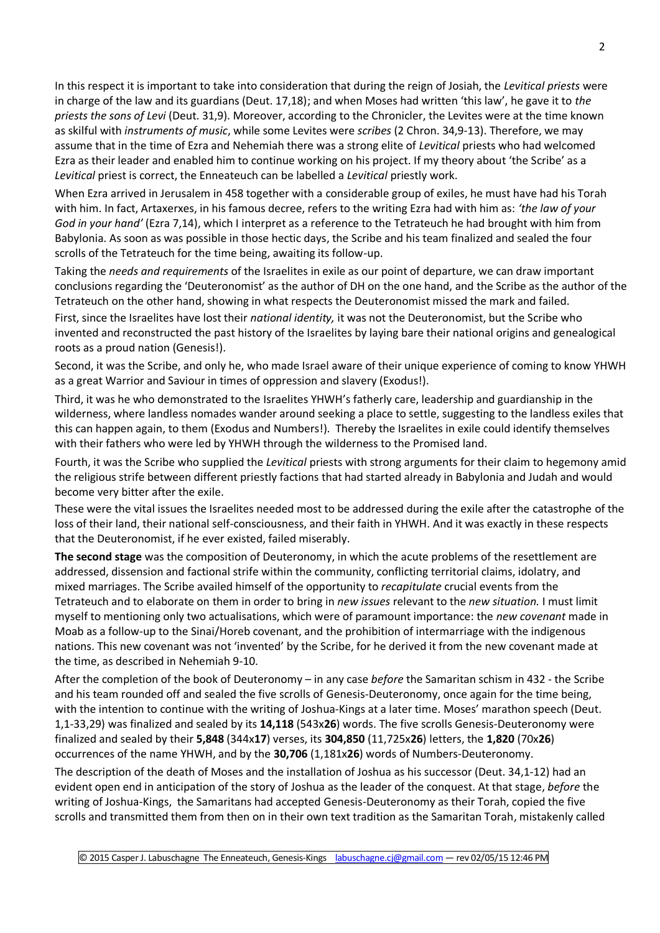In this respect it is important to take into consideration that during the reign of Josiah, the *Levitical priests* were in charge of the law and its guardians (Deut. 17,18); and when Moses had written 'this law', he gave it to *the priests the sons of Levi* (Deut. 31,9). Moreover, according to the Chronicler, the Levites were at the time known as skilful with *instruments of music*, while some Levites were *scribes* (2 Chron. 34,9-13). Therefore, we may assume that in the time of Ezra and Nehemiah there was a strong elite of *Levitical* priests who had welcomed Ezra as their leader and enabled him to continue working on his project. If my theory about 'the Scribe' as a *Levitical* priest is correct, the Enneateuch can be labelled a *Levitical* priestly work.

When Ezra arrived in Jerusalem in 458 together with a considerable group of exiles, he must have had his Torah with him. In fact, Artaxerxes, in his famous decree, refers to the writing Ezra had with him as: *'the law of your God in your hand'* (Ezra 7,14), which I interpret as a reference to the Tetrateuch he had brought with him from Babylonia. As soon as was possible in those hectic days, the Scribe and his team finalized and sealed the four scrolls of the Tetrateuch for the time being, awaiting its follow-up.

Taking the *needs and requirements* of the Israelites in exile as our point of departure, we can draw important conclusions regarding the 'Deuteronomist' as the author of DH on the one hand, and the Scribe as the author of the Tetrateuch on the other hand, showing in what respects the Deuteronomist missed the mark and failed.

First, since the Israelites have lost their *national identity,* it was not the Deuteronomist, but the Scribe who invented and reconstructed the past history of the Israelites by laying bare their national origins and genealogical roots as a proud nation (Genesis!).

Second, it was the Scribe, and only he, who made Israel aware of their unique experience of coming to know YHWH as a great Warrior and Saviour in times of oppression and slavery (Exodus!).

Third, it was he who demonstrated to the Israelites YHWH's fatherly care, leadership and guardianship in the wilderness, where landless nomades wander around seeking a place to settle, suggesting to the landless exiles that this can happen again, to them (Exodus and Numbers!). Thereby the Israelites in exile could identify themselves with their fathers who were led by YHWH through the wilderness to the Promised land.

Fourth, it was the Scribe who supplied the *Levitical* priests with strong arguments for their claim to hegemony amid the religious strife between different priestly factions that had started already in Babylonia and Judah and would become very bitter after the exile.

These were the vital issues the Israelites needed most to be addressed during the exile after the catastrophe of the loss of their land, their national self-consciousness, and their faith in YHWH. And it was exactly in these respects that the Deuteronomist, if he ever existed, failed miserably.

**The second stage** was the composition of Deuteronomy, in which the acute problems of the resettlement are addressed, dissension and factional strife within the community, conflicting territorial claims, idolatry, and mixed marriages. The Scribe availed himself of the opportunity to *recapitulate* crucial events from the Tetrateuch and to elaborate on them in order to bring in *new issues* relevant to the *new situation.* I must limit myself to mentioning only two actualisations, which were of paramount importance: the *new covenant* made in Moab as a follow-up to the Sinai/Horeb covenant, and the prohibition of intermarriage with the indigenous nations. This new covenant was not 'invented' by the Scribe, for he derived it from the new covenant made at the time, as described in Nehemiah 9-10.

After the completion of the book of Deuteronomy – in any case *before* the Samaritan schism in 432 - the Scribe and his team rounded off and sealed the five scrolls of Genesis-Deuteronomy, once again for the time being, with the intention to continue with the writing of Joshua-Kings at a later time. Moses' marathon speech (Deut. 1,1-33,29) was finalized and sealed by its **14,118** (543x**26**) words. The five scrolls Genesis-Deuteronomy were finalized and sealed by their **5,848** (344x**17**) verses, its **304,850** (11,725x**26**) letters, the **1,820** (70x**26**) occurrences of the name YHWH, and by the **30,706** (1,181x**26**) words of Numbers-Deuteronomy.

The description of the death of Moses and the installation of Joshua as his successor (Deut. 34,1-12) had an evident open end in anticipation of the story of Joshua as the leader of the conquest. At that stage, *before* the writing of Joshua-Kings, the Samaritans had accepted Genesis-Deuteronomy as their Torah, copied the five scrolls and transmitted them from then on in their own text tradition as the Samaritan Torah, mistakenly called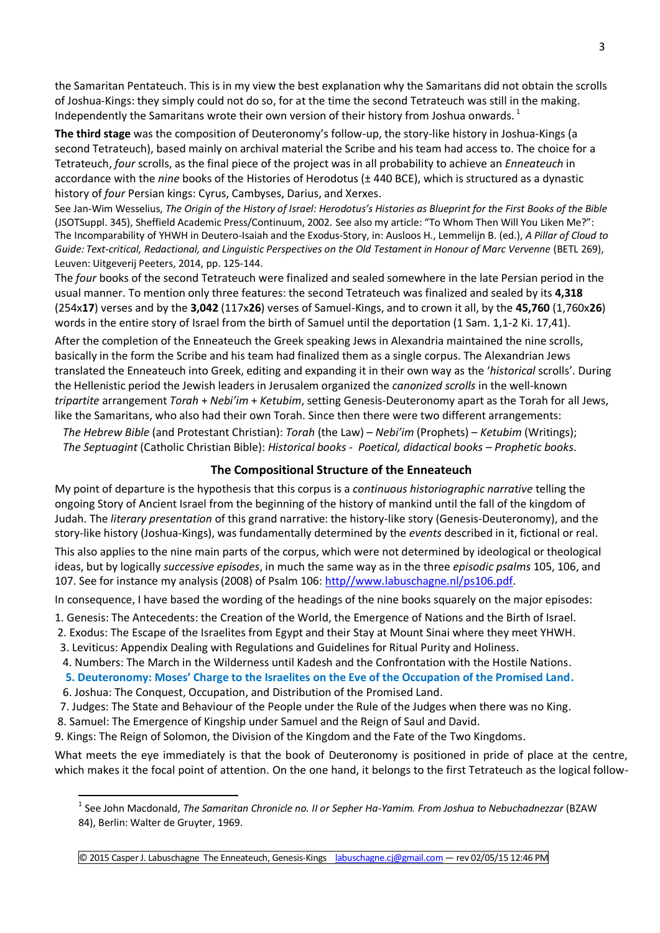the Samaritan Pentateuch. This is in my view the best explanation why the Samaritans did not obtain the scrolls of Joshua-Kings: they simply could not do so, for at the time the second Tetrateuch was still in the making. Independently the Samaritans wrote their own version of their history from Joshua onwards.<sup>1</sup>

**The third stage** was the composition of Deuteronomy's follow-up, the story-like history in Joshua-Kings (a second Tetrateuch), based mainly on archival material the Scribe and his team had access to. The choice for a Tetrateuch, *four* scrolls, as the final piece of the project was in all probability to achieve an *Enneateuch* in accordance with the *nine* books of the Histories of Herodotus (± 440 BCE), which is structured as a dynastic history of *four* Persian kings: Cyrus, Cambyses, Darius, and Xerxes.

See Jan-Wim Wesselius, *The Origin of the History of Israel: Herodotus's Histories as Blueprint for the First Books of the Bible* (JSOTSuppl. 345), Sheffield Academic Press/Continuum, 2002. See also my article: "To Whom Then Will You Liken Me?": The Incomparability of YHWH in Deutero-Isaiah and the Exodus-Story, in: [Ausloos H.,](http://www.peeters-leuven.be/search_author_book.asp?nr=3232) [Lemmelijn B.](http://www.peeters-leuven.be/search_author_book.asp?nr=3234) (ed.), *A Pillar of Cloud to Guide: Text-critical, Redactional, and Linguistic Perspectives on the Old Testament in Honour of Marc Vervenne* (BETL 269), Leuven: Uitgeverij Peeters, 2014, pp. 125-144.

The *four* books of the second Tetrateuch were finalized and sealed somewhere in the late Persian period in the usual manner. To mention only three features: the second Tetrateuch was finalized and sealed by its **4,318** (254x**17**) verses and by the **3,042** (117x**26**) verses of Samuel-Kings, and to crown it all, by the **45,760** (1,760x**26**) words in the entire story of Israel from the birth of Samuel until the deportation (1 Sam. 1,1-2 Ki. 17,41).

After the completion of the Enneateuch the Greek speaking Jews in Alexandria maintained the nine scrolls, basically in the form the Scribe and his team had finalized them as a single corpus. The Alexandrian Jews translated the Enneateuch into Greek, editing and expanding it in their own way as the '*historical* scrolls'. During the Hellenistic period the Jewish leaders in Jerusalem organized the *canonized scrolls* in the well-known *tripartite* arrangement *Torah* + *Nebi'im* + *Ketubim*, setting Genesis-Deuteronomy apart as the Torah for all Jews, like the Samaritans, who also had their own Torah. Since then there were two different arrangements:

 *The Hebrew Bible* (and Protestant Christian): *Torah* (the Law) – *Nebi'im* (Prophets) – *Ketubim* (Writings); *The Septuagint* (Catholic Christian Bible): *Historical books* - *Poetical, didactical books* – *Prophetic books*.

#### **The Compositional Structure of the Enneateuch**

My point of departure is the hypothesis that this corpus is a *continuous historiographic narrative* telling the ongoing Story of Ancient Israel from the beginning of the history of mankind until the fall of the kingdom of Judah. The *literary presentation* of this grand narrative: the history-like story (Genesis-Deuteronomy), and the story-like history (Joshua-Kings), was fundamentally determined by the *events* described in it, fictional or real.

This also applies to the nine main parts of the corpus, which were not determined by ideological or theological ideas, but by logically *successive episodes*, in much the same way as in the three *episodic psalms* 105, 106, and 107. See for instance my analysis (2008) of Psalm 106: [http//www.labuschagne.nl/ps106.pdf.](http://www.labuschagne.nl/ps106.pdf)

In consequence, I have based the wording of the headings of the nine books squarely on the major episodes:

- 1. Genesis: The Antecedents: the Creation of the World, the Emergence of Nations and the Birth of Israel.
- 2. Exodus: The Escape of the Israelites from Egypt and their Stay at Mount Sinai where they meet YHWH.

3. Leviticus: Appendix Dealing with Regulations and Guidelines for Ritual Purity and Holiness.

4. Numbers: The March in the Wilderness until Kadesh and the Confrontation with the Hostile Nations.

#### **5. Deuteronomy: Moses' Charge to the Israelites on the Eve of the Occupation of the Promised Land.**

6. Joshua: The Conquest, Occupation, and Distribution of the Promised Land.

1

- 7. Judges: The State and Behaviour of the People under the Rule of the Judges when there was no King.
- 8. Samuel: The Emergence of Kingship under Samuel and the Reign of Saul and David.
- 9. Kings: The Reign of Solomon, the Division of the Kingdom and the Fate of the Two Kingdoms.

What meets the eye immediately is that the book of Deuteronomy is positioned in pride of place at the centre, which makes it the focal point of attention. On the one hand, it belongs to the first Tetrateuch as the logical follow-

<sup>1</sup> See John Macdonald, *The Samaritan Chronicle no. II or Sepher Ha-Yamim. From Joshua to Nebuchadnezzar* (BZAW 84), Berlin: Walter de Gruyter, 1969.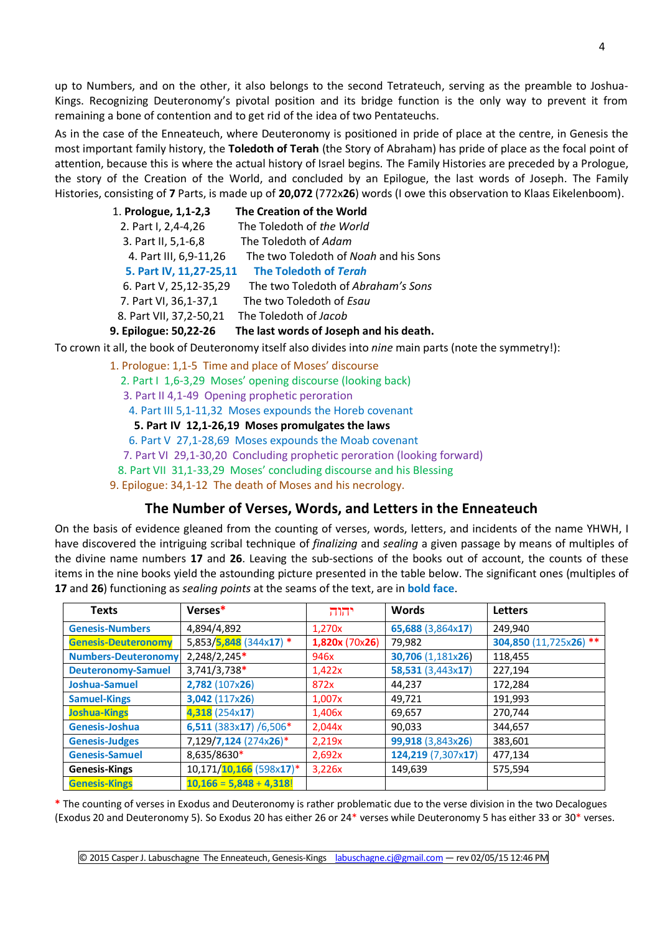up to Numbers, and on the other, it also belongs to the second Tetrateuch, serving as the preamble to Joshua-Kings. Recognizing Deuteronomy's pivotal position and its bridge function is the only way to prevent it from remaining a bone of contention and to get rid of the idea of two Pentateuchs.

As in the case of the Enneateuch, where Deuteronomy is positioned in pride of place at the centre, in Genesis the most important family history, the **Toledoth of Terah** (the Story of Abraham) has pride of place as the focal point of attention, because this is where the actual history of Israel begins. The Family Histories are preceded by a Prologue, the story of the Creation of the World, and concluded by an Epilogue, the last words of Joseph. The Family Histories, consisting of **7** Parts, is made up of **20,072** (772x**26**) words (I owe this observation to Klaas Eikelenboom).

| 1. Prologue, 1,1-2,3      | The Creation of the World                    |
|---------------------------|----------------------------------------------|
| 2. Part I, 2,4-4,26       | The Toledoth of the World                    |
| 3. Part II, 5,1-6,8       | The Toledoth of Adam                         |
| 4. Part III, 6,9-11,26    | The two Toledoth of <i>Noah</i> and his Sons |
| 5. Part IV, 11, 27-25, 11 | The Toledoth of Terah                        |
| 6. Part V, 25, 12-35, 29  | The two Toledoth of Abraham's Sons           |
| 7. Part VI, 36, 1-37, 1   | The two Toledoth of Esau                     |
| 8. Part VII, 37, 2-50, 21 | The Toledoth of Jacob                        |
| 9. Epilogue: 50,22-26     | The last words of Joseph and his death.      |

To crown it all, the book of Deuteronomy itself also divides into *nine* main parts (note the symmetry!):

1. Prologue: 1,1-5 Time and place of Moses' discourse 2. Part I 1,6-3,29 Moses' opening discourse (looking back) 3. Part II 4,1-49 Opening prophetic peroration 4. Part III 5,1-11,32 Moses expounds the Horeb covenant  **5. Part IV 12,1-26,19 Moses promulgates the laws**  6. Part V 27,1-28,69 Moses expounds the Moab covenant 7. Part VI 29,1-30,20 Concluding prophetic peroration (looking forward) 8. Part VII 31,1-33,29 Moses' concluding discourse and his Blessing 9. Epilogue: 34,1-12 The death of Moses and his necrology.

# **The Number of Verses, Words, and Letters in the Enneateuch**

On the basis of evidence gleaned from the counting of verses, words, letters, and incidents of the name YHWH, I have discovered the intriguing scribal technique of *finalizing* and *sealing* a given passage by means of multiples of the divine name numbers **17** and **26**. Leaving the sub-sections of the books out of account, the counts of these items in the nine books yield the astounding picture presented in the table below. The significant ones (multiples of **17** and **26**) functioning as *sealing points* at the seams of the text, are in **bold face**.

| <b>Texts</b>               | Verses*                               | יהוה          | <b>Words</b>       | <b>Letters</b>         |
|----------------------------|---------------------------------------|---------------|--------------------|------------------------|
| <b>Genesis-Numbers</b>     | 4,894/4,892                           | 1,270x        | 65,688 (3,864x17)  | 249,940                |
| <b>Genesis-Deuteronomy</b> | 5,853/5,848 (344x17) *                | 1,820x(70x26) | 79,982             | 304,850 (11,725x26) ** |
| <b>Numbers-Deuteronomy</b> | 2,248/2,245*                          | 946x          | 30,706 (1,181x26)  | 118,455                |
| <b>Deuteronomy-Samuel</b>  | $3,741/3,738*$                        | 1,422x        | 58,531 (3,443x17)  | 227,194                |
| Joshua-Samuel              | 2,782 (107x26)                        | 872x          | 44.237             | 172,284                |
| <b>Samuel-Kings</b>        | 3,042 (117x26)                        | 1,007x        | 49,721             | 191,993                |
| <b>Joshua-Kings</b>        | $4,318$ (254x17)                      | 1,406x        | 69,657             | 270,744                |
| Genesis-Joshua             | 6,511 (383x17) /6,506*                | 2,044x        | 90,033             | 344,657                |
| <b>Genesis-Judges</b>      | 7,129/7,124 (274x26)*                 | 2,219x        | 99,918 (3,843x26)  | 383,601                |
| <b>Genesis-Samuel</b>      | 8,635/8630*                           | 2,692x        | 124,219 (7,307x17) | 477,134                |
| <b>Genesis-Kings</b>       | $10,171/10,166$ (598x17) <sup>*</sup> | 3,226x        | 149,639            | 575,594                |
| <b>Genesis-Kings</b>       | $10.166 = 5.848 + 4.318$              |               |                    |                        |

**\*** The counting of verses in Exodus and Deuteronomy is rather problematic due to the verse division in the two Decalogues (Exodus 20 and Deuteronomy 5). So Exodus 20 has either 26 or 24\* verses while Deuteronomy 5 has either 33 or 30\* verses.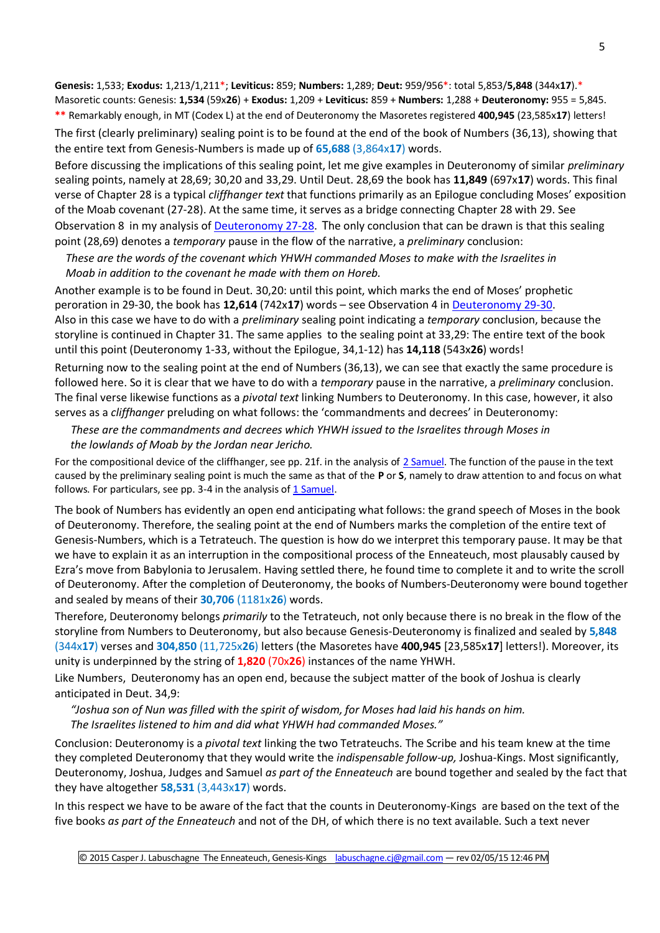**Genesis:** 1,533; **Exodus:** 1,213/1,211\*; **Leviticus:** 859; **Numbers:** 1,289; **Deut:** 959/956\*: total 5,853/**5,848** (344x**17**).\* Masoretic counts: Genesis: **1,534** (59x**26**) + **Exodus:** 1,209 + **Leviticus:** 859 + **Numbers:** 1,288 + **Deuteronomy:** 955 = 5,845. **\*\*** Remarkably enough, in MT (Codex L) at the end of Deuteronomy the Masoretes registered **400,945** (23,585x**17**) letters!

The first (clearly preliminary) sealing point is to be found at the end of the book of Numbers (36,13), showing that the entire text from Genesis-Numbers is made up of **65,688** (3,864x**17**) words.

Before discussing the implications of this sealing point, let me give examples in Deuteronomy of similar *preliminary* sealing points, namely at 28,69; 30,20 and 33,29. Until Deut. 28,69 the book has **11,849** (697x**17**) words. This final verse of Chapter 28 is a typical *cliffhanger text* that functions primarily as an Epilogue concluding Moses' exposition of the Moab covenant (27-28). At the same time, it serves as a bridge connecting Chapter 28 with 29. See Observation 8 in my analysis of [Deuteronomy 27-28.](http://www.labuschagne.nl/deut/5deut27-28.pdf) The only conclusion that can be drawn is that this sealing point (28,69) denotes a *temporary* pause in the flow of the narrative, a *preliminary* conclusion:

 *These are the words of the covenant which YHWH commanded Moses to make with the Israelites in Moab in addition to the covenant he made with them on Horeb.*

Another example is to be found in Deut. 30,20: until this point, which marks the end of Moses' prophetic peroration in 29-30, the book has **12,614** (742x**17**) words – see Observation 4 in [Deuteronomy 29-30.](http://www.labuschagne.nl/deut/6deut29-30.pdf) Also in this case we have to do with a *preliminary* sealing point indicating a *temporary* conclusion, because the storyline is continued in Chapter 31. The same applies to the sealing point at 33,29: The entire text of the book until this point (Deuteronomy 1-33, without the Epilogue, 34,1-12) has **14,118** (543x**26**) words!

Returning now to the sealing point at the end of Numbers (36,13), we can see that exactly the same procedure is followed here. So it is clear that we have to do with a *temporary* pause in the narrative, a *preliminary* conclusion. The final verse likewise functions as a *pivotal text* linking Numbers to Deuteronomy. In this case, however, it also serves as a *cliffhanger* preluding on what follows: the 'commandments and decrees' in Deuteronomy:

*These are the commandments and decrees which YHWH issued to the Israelites through Moses in the lowlands of Moab by the Jordan near Jericho.*

For the compositional device of the cliffhanger, see pp. 21f. in the analysis of [2 Samuel.](http://www.labuschagne.nl/genesis-kings/2Sam1-24.pdf) The function of the pause in the text caused by the preliminary sealing point is much the same as that of the **P** or **S**, namely to draw attention to and focus on what follows. For particulars, see pp. 3-4 in the analysis of  $1$  Samuel.

The book of Numbers has evidently an open end anticipating what follows: the grand speech of Moses in the book of Deuteronomy. Therefore, the sealing point at the end of Numbers marks the completion of the entire text of Genesis-Numbers, which is a Tetrateuch. The question is how do we interpret this temporary pause. It may be that we have to explain it as an interruption in the compositional process of the Enneateuch, most plausably caused by Ezra's move from Babylonia to Jerusalem. Having settled there, he found time to complete it and to write the scroll of Deuteronomy. After the completion of Deuteronomy, the books of Numbers-Deuteronomy were bound together and sealed by means of their **30,706** (1181x**26**) words.

Therefore, Deuteronomy belongs *primarily* to the Tetrateuch, not only because there is no break in the flow of the storyline from Numbers to Deuteronomy, but also because Genesis-Deuteronomy is finalized and sealed by **5,848** (344x**17**) verses and **304,850** (11,725x**26**) letters (the Masoretes have **400,945** [23,585x**17**] letters!). Moreover, its unity is underpinned by the string of **1,820** (70x**26**) instances of the name YHWH.

Like Numbers, Deuteronomy has an open end, because the subject matter of the book of Joshua is clearly anticipated in Deut. 34,9:

*"Joshua son of Nun was filled with the spirit of wisdom, for Moses had laid his hands on him. The Israelites listened to him and did what YHWH had commanded Moses."*

Conclusion: Deuteronomy is a *pivotal text* linking the two Tetrateuchs. The Scribe and his team knew at the time they completed Deuteronomy that they would write the *indispensable follow-up,* Joshua-Kings. Most significantly, Deuteronomy, Joshua, Judges and Samuel *as part of the Enneateuch* are bound together and sealed by the fact that they have altogether **58,531** (3,443x**17**) words.

In this respect we have to be aware of the fact that the counts in Deuteronomy-Kings are based on the text of the five books *as part of the Enneateuch* and not of the DH, of which there is no text available. Such a text never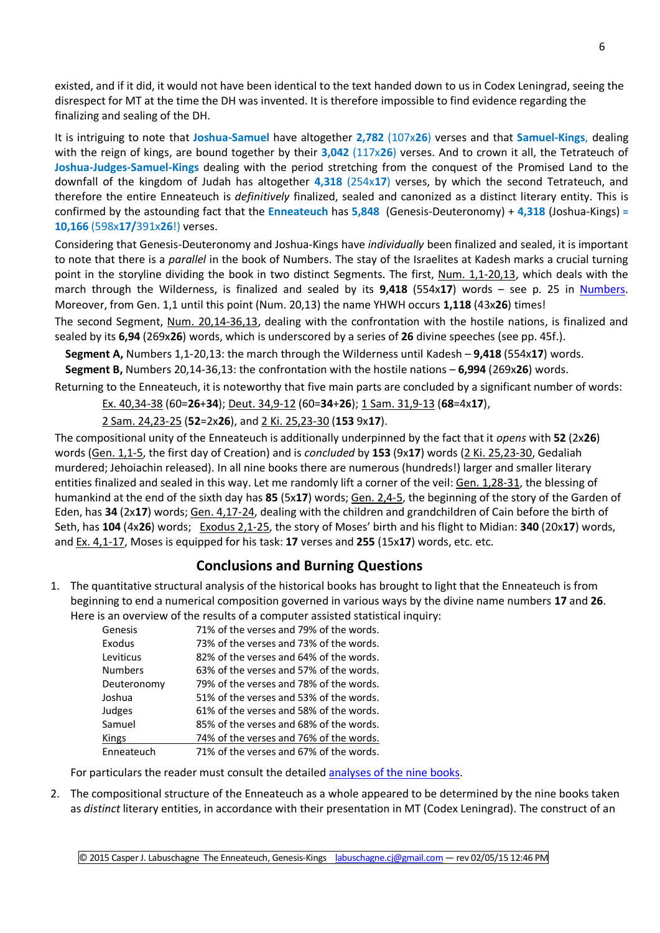existed, and if it did, it would not have been identical to the text handed down to us in Codex Leningrad, seeing the disrespect for MT at the time the DH was invented. It is therefore impossible to find evidence regarding the finalizing and sealing of the DH.

It is intriguing to note that **Joshua-Samuel** have altogether **2,782** (107x**26**) verses and that **Samuel-Kings**, dealing with the reign of kings, are bound together by their **3,042** (117x**26**) verses. And to crown it all, the Tetrateuch of **Joshua-Judges-Samuel-Kings** dealing with the period stretching from the conquest of the Promised Land to the downfall of the kingdom of Judah has altogether **4,318** (254x**17**) verses, by which the second Tetrateuch, and therefore the entire Enneateuch is *definitively* finalized, sealed and canonized as a distinct literary entity. This is confirmed by the astounding fact that the **Enneateuch** has **5,848** (Genesis-Deuteronomy) + **4,318** (Joshua-Kings) **= 10,166** (598x**17/**391x**26**!) verses.

Considering that Genesis-Deuteronomy and Joshua-Kings have *individually* been finalized and sealed, it is important to note that there is a *parallel* in the book of Numbers. The stay of the Israelites at Kadesh marks a crucial turning point in the storyline dividing the book in two distinct Segments. The first, Num. 1,1-20,13, which deals with the march through the Wilderness, is finalized and sealed by its **9,418** (554x**17**) words – see p. 25 in [Numbers.](http://www.labuschagne.nl/numbers/Numbers1-36.pdf) Moreover, from Gen. 1,1 until this point (Num. 20,13) the name YHWH occurs **1,118** (43x**26**) times!

The second Segment, Num. 20,14-36,13, dealing with the confrontation with the hostile nations, is finalized and sealed by its **6,94** (269x**26**) words, which is underscored by a series of **26** divine speeches (see pp. 45f.).

**Segment A,** Numbers 1,1-20,13: the march through the Wilderness until Kadesh – **9,418** (554x**17**) words.

**Segment B,** Numbers 20,14-36,13: the confrontation with the hostile nations – **6,994** (269x**26**) words.

Returning to the Enneateuch, it is noteworthy that five main parts are concluded by a significant number of words:

Ex. 40,34-38 (60=**26**+**34**); Deut. 34,9-12 (60=**34**+**26**); 1 Sam. 31,9-13 (**68**=4x**17**),

2 Sam. 24,23-25 (**52**=2x**26**), and 2 Ki. 25,23-30 (**153** 9x**17**).

The compositional unity of the Enneateuch is additionally underpinned by the fact that it *opens* with **52** (2x**26**) words (Gen. 1,1-5, the first day of Creation) and is *concluded* by **153** (9x**17**) words (2 Ki. 25,23-30, Gedaliah murdered; Jehoiachin released). In all nine books there are numerous (hundreds!) larger and smaller literary entities finalized and sealed in this way. Let me randomly lift a corner of the veil: Gen. 1,28-31, the blessing of humankind at the end of the sixth day has **85** (5x**17**) words; Gen. 2,4-5, the beginning of the story of the Garden of Eden, has **34** (2x**17**) words; Gen. 4,17-24, dealing with the children and grandchildren of Cain before the birth of Seth, has **104** (4x**26**) words; Exodus 2,1-25, the story of Moses' birth and his flight to Midian: **340** (20x**17**) words, and Ex. 4,1-17, Moses is equipped for his task: **17** verses and **255** (15x**17**) words, etc. etc.

# **Conclusions and Burning Questions**

1. The quantitative structural analysis of the historical books has brought to light that the Enneateuch is from beginning to end a numerical composition governed in various ways by the divine name numbers **17** and **26**. Here is an overview of the results of a computer assisted statistical inquiry:

| Genesis        | 71% of the verses and 79% of the words. |
|----------------|-----------------------------------------|
| Exodus         | 73% of the verses and 73% of the words. |
| Leviticus      | 82% of the verses and 64% of the words. |
| <b>Numbers</b> | 63% of the verses and 57% of the words. |
| Deuteronomy    | 79% of the verses and 78% of the words. |
| Joshua         | 51% of the verses and 53% of the words. |
| Judges         | 61% of the verses and 58% of the words. |
| Samuel         | 85% of the verses and 68% of the words. |
| <b>Kings</b>   | 74% of the verses and 76% of the words. |
| Enneateuch     | 71% of the verses and 67% of the words. |

For particulars the reader must consult the detailed [analyses of the nine books.](http://www.labuschagne.nl/genesis-kings.htm)

2. The compositional structure of the Enneateuch as a whole appeared to be determined by the nine books taken as *distinct* literary entities, in accordance with their presentation in MT (Codex Leningrad). The construct of an